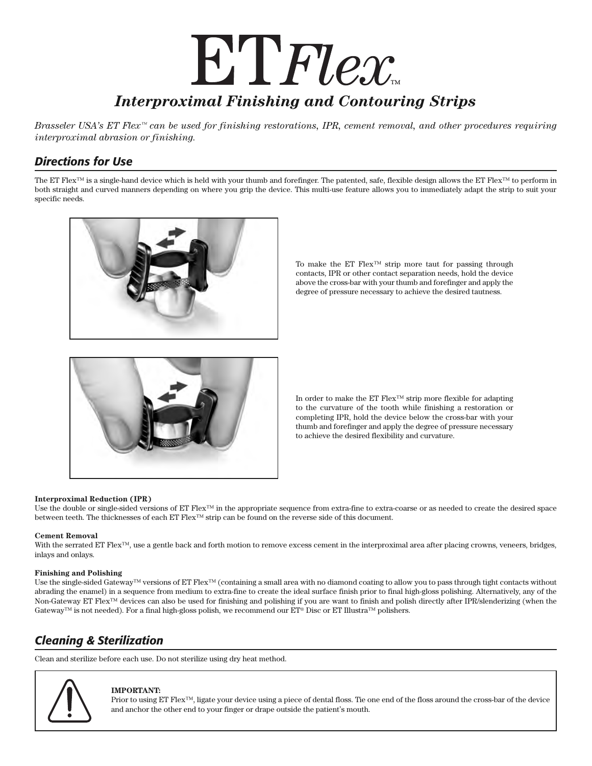# ET Flex *Interproximal Finishing and Contouring Strips*

*Brasseler USA's ET Flex™ can be used for finishing restorations, IPR, cement removal, and other procedures requiring interproximal abrasion or finishing.*

# *Directions for Use*

The ET Flex<sup>™</sup> is a single-hand device which is held with your thumb and forefinger. The patented, safe, flexible design allows the ET Flex™ to perform in both straight and curved manners depending on where you grip the device. This multi-use feature allows you to immediately adapt the strip to suit your specific needs.



To make the ET Flex™ strip more taut for passing through contacts, IPR or other contact separation needs, hold the device above the cross-bar with your thumb and forefinger and apply the degree of pressure necessary to achieve the desired tautness.



In order to make the ET Flex™ strip more flexible for adapting to the curvature of the tooth while finishing a restoration or completing IPR, hold the device below the cross-bar with your thumb and forefinger and apply the degree of pressure necessary to achieve the desired flexibility and curvature.

# **Interproximal Reduction (IPR)**

Use the double or single-sided versions of ET Flex™ in the appropriate sequence from extra-fine to extra-coarse or as needed to create the desired space between teeth. The thicknesses of each ET Flex™ strip can be found on the reverse side of this document.

# **Cement Removal**

With the serrated ET Flex<sup>™</sup>, use a gentle back and forth motion to remove excess cement in the interproximal area after placing crowns, veneers, bridges, inlays and onlays.

## **Finishing and Polishing**

Use the single-sided Gateway™ versions of ET Flex™ (containing a small area with no diamond coating to allow you to pass through tight contacts without abrading the enamel) in a sequence from medium to extra-fine to create the ideal surface finish prior to final high-gloss polishing. Alternatively, any of the Non-Gateway ET Flex™ devices can also be used for finishing and polishing if you are want to finish and polish directly after IPR/slenderizing (when the Gateway™ is not needed). For a final high-gloss polish, we recommend our ET® Disc or ET Illustra™ polishers.

# *Cleaning & Sterilization*

Clean and sterilize before each use. Do not sterilize using dry heat method.



## **IMPORTANT:**

Prior to using ET Flex™, ligate your device using a piece of dental floss. Tie one end of the floss around the cross-bar of the device and anchor the other end to your finger or drape outside the patient's mouth.